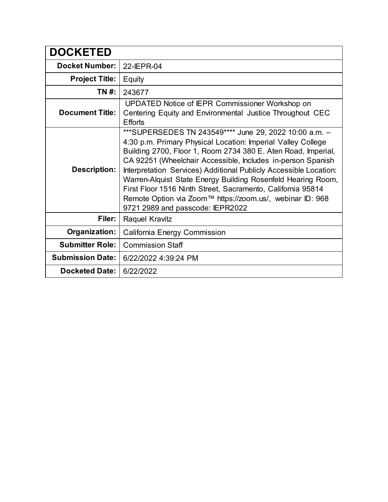| <b>DOCKETED</b>         |                                                                                                                                                                                                                                                                                                                                                                                                                                                                                                                                                             |
|-------------------------|-------------------------------------------------------------------------------------------------------------------------------------------------------------------------------------------------------------------------------------------------------------------------------------------------------------------------------------------------------------------------------------------------------------------------------------------------------------------------------------------------------------------------------------------------------------|
| <b>Docket Number:</b>   | 22-IEPR-04                                                                                                                                                                                                                                                                                                                                                                                                                                                                                                                                                  |
| <b>Project Title:</b>   | Equity                                                                                                                                                                                                                                                                                                                                                                                                                                                                                                                                                      |
| TN #:                   | 243677                                                                                                                                                                                                                                                                                                                                                                                                                                                                                                                                                      |
| <b>Document Title:</b>  | UPDATED Notice of IEPR Commissioner Workshop on<br>Centering Equity and Environmental Justice Throughout CEC<br><b>Efforts</b>                                                                                                                                                                                                                                                                                                                                                                                                                              |
| <b>Description:</b>     | ***SUPERSEDES TN 243549**** June 29, 2022 10:00 a.m. -<br>4:30 p.m. Primary Physical Location: Imperial Valley College<br>Building 2700, Floor 1, Room 2734 380 E. Aten Road, Imperial,<br>CA 92251 (Wheelchair Accessible, Includes in-person Spanish<br>Interpretation Services) Additional Publicly Accessible Location:<br>Warren-Alquist State Energy Building Rosenfeld Hearing Room,<br>First Floor 1516 Ninth Street, Sacramento, California 95814<br>Remote Option via Zoom™ https://zoom.us/, webinar ID: 968<br>9721 2989 and passcode: IEPR2022 |
| Filer:                  | Raquel Kravitz                                                                                                                                                                                                                                                                                                                                                                                                                                                                                                                                              |
| Organization:           | <b>California Energy Commission</b>                                                                                                                                                                                                                                                                                                                                                                                                                                                                                                                         |
| <b>Submitter Role:</b>  | <b>Commission Staff</b>                                                                                                                                                                                                                                                                                                                                                                                                                                                                                                                                     |
| <b>Submission Date:</b> | 6/22/2022 4:39:24 PM                                                                                                                                                                                                                                                                                                                                                                                                                                                                                                                                        |
| <b>Docketed Date:</b>   | 6/22/2022                                                                                                                                                                                                                                                                                                                                                                                                                                                                                                                                                   |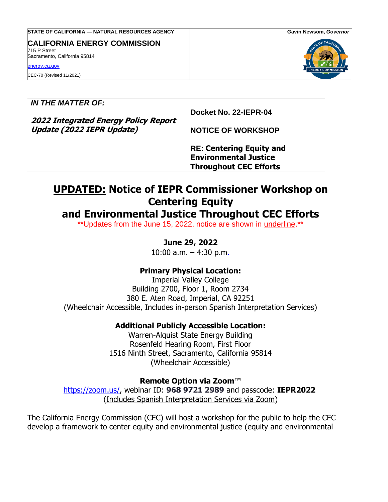| STATE OF CALIFORNIA — NATURAL RESOURCES AGENCY                                                                                   | Gavin Newsom, Governor                |
|----------------------------------------------------------------------------------------------------------------------------------|---------------------------------------|
| <b>CALIFORNIA ENERGY COMMISSION</b><br>715 P Street<br>Sacramento, California 95814<br>energy.ca.gov<br>CEC-70 (Revised 11/2021) | OF CALIFO<br><b>ENERGY COMMISSION</b> |

*IN THE MATTER OF:*

**Docket No. 22-IEPR-04**

**2022 Integrated Energy Policy Report Update (2022 IEPR Update)**

**NOTICE OF WORKSHOP**

**RE: Centering Equity and Environmental Justice Throughout CEC Efforts**

# **UPDATED: Notice of IEPR Commissioner Workshop on Centering Equity**

# **and Environmental Justice Throughout CEC Efforts**

\*\*Updates from the June 15, 2022, notice are shown in underline.\*\*

# **June 29, 2022**

10:00 a.m.  $-4:30$  p.m.

# **Primary Physical Location:**

Imperial Valley College Building 2700, Floor 1, Room 2734 380 E. Aten Road, Imperial, CA 92251 (Wheelchair Accessible, Includes in-person Spanish Interpretation Services)

# **Additional Publicly Accessible Location:**

Warren-Alquist State Energy Building Rosenfeld Hearing Room, First Floor 1516 Ninth Street, Sacramento, California 95814 (Wheelchair Accessible)

#### **Remote Option via Zoom**™ [https://zoom.us/,](https://zoom.us/) webinar ID: **968 9721 2989** and passcode: **IEPR2022** (Includes Spanish Interpretation Services via Zoom)

The California Energy Commission (CEC) will host a workshop for the public to help the CEC develop a framework to center equity and environmental justice (equity and environmental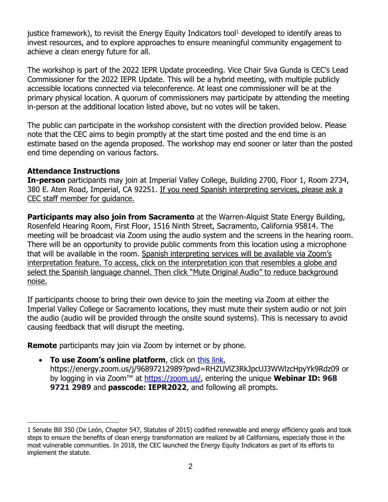justice framework), to revisit the Energy Equity Indicators tool<sup>1</sup> developed to identify areas to invest resources, and to explore approaches to ensure meaningful community engagement to achieve a clean energy future for all.

The workshop is part of the 2022 IEPR Update proceeding. Vice Chair Siva Gunda is CEC's Lead Commissioner for the 2022 IEPR Update. This will be a hybrid meeting, with multiple publicly accessible locations connected via teleconference. At least one commissioner will be at the primary physical location. A quorum of commissioners may participate by attending the meeting in-person at the additional location listed above, but no votes will be taken.

The public can participate in the workshop consistent with the direction provided below. Please note that the CEC aims to begin promptly at the start time posted and the end time is an estimate based on the agenda proposed. The workshop may end sooner or later than the posted end time depending on various factors.

#### **Attendance Instructions**

**In-person** participants may join at Imperial Valley College, Building 2700, Floor 1, Room 2734, 380 E. Aten Road, Imperial, CA 92251. If you need Spanish interpreting services, please ask a CEC staff member for guidance.

**Participants may also join from Sacramento** at the Warren-Alquist State Energy Building, Rosenfeld Hearing Room, First Floor, 1516 Ninth Street, Sacramento, California 95814. The meeting will be broadcast via Zoom using the audio system and the screens in the hearing room. There will be an opportunity to provide public comments from this location using a microphone that will be available in the room. Spanish interpreting services will be available via Zoom's interpretation feature. To access, click on the interpretation icon that resembles a globe and select the Spanish language channel. Then click "Mute Original Audio" to reduce background noise.

If participants choose to bring their own device to join the meeting via Zoom at either the Imperial Valley College or Sacramento locations, they must mute their system audio or not join the audio (audio will be provided through the onsite sound systems). This is necessary to avoid causing feedback that will disrupt the meeting.

**Remote** participants may join via Zoom by internet or by phone.

• **To use Zoom's online platform**, click on [this link,](https://energy.zoom.us/j/96897212989?pwd=RHZUVlZ3RkJpcUJ3WWlzcHpyYk9Rdz09) https://energy.zoom.us/j/96897212989?pwd=RHZUVlZ3RkJpcUJ3WWlzcHpyYk9Rdz09 or by logging in via Zoom™ at [https://zoom.us/,](https://zoom.us/) entering the unique **Webinar ID: 968 9721 2989** and **passcode: IEPR2022**, and following all prompts.

<sup>1</sup> Senate Bill 350 (De León, Chapter 547, Statutes of 2015) codified renewable and energy efficiency goals and took steps to ensure the benefits of clean energy transformation are realized by all Californians, especially those in the most vulnerable communities. In 2018, the CEC launched the Energy Equity Indicators as part of its efforts to implement the statute.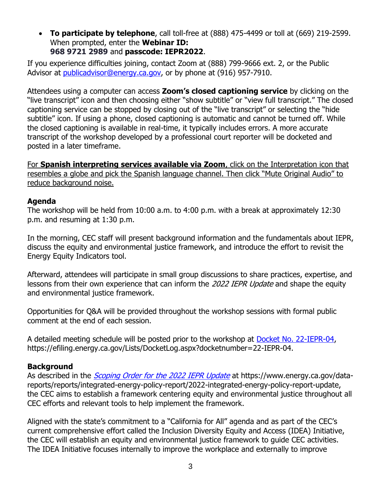• **To participate by telephone**, call toll-free at (888) 475-4499 or toll at (669) 219-2599. When prompted, enter the **Webinar ID: 968 9721 2989** and **passcode: IEPR2022**.

If you experience difficulties joining, contact Zoom at (888) 799-9666 ext. 2, or the Public Advisor at [publicadvisor@energy.ca.gov,](mailto:publicadvisor@energy.ca.gov) or by phone at (916) 957-7910.

Attendees using a computer can access **Zoom's closed captioning service** by clicking on the "live transcript" icon and then choosing either "show subtitle" or "view full transcript." The closed captioning service can be stopped by closing out of the "live transcript" or selecting the "hide subtitle" icon. If using a phone, closed captioning is automatic and cannot be turned off. While the closed captioning is available in real-time, it typically includes errors. A more accurate transcript of the workshop developed by a professional court reporter will be docketed and posted in a later timeframe.

For **Spanish interpreting services available via Zoom**, click on the Interpretation icon that resembles a globe and pick the Spanish language channel. Then click "Mute Original Audio" to reduce background noise.

#### **Agenda**

The workshop will be held from 10:00 a.m. to 4:00 p.m. with a break at approximately 12:30 p.m. and resuming at 1:30 p.m.

In the morning, CEC staff will present background information and the fundamentals about IEPR, discuss the equity and environmental justice framework, and introduce the effort to revisit the Energy Equity Indicators tool.

Afterward, attendees will participate in small group discussions to share practices, expertise, and lessons from their own experience that can inform the 2022 IEPR Update and shape the equity and environmental justice framework.

Opportunities for Q&A will be provided throughout the workshop sessions with formal public comment at the end of each session.

A detailed meeting schedule will be posted prior to the workshop at [Docket No. 22-IEPR-04,](https://efiling.energy.ca.gov/Lists/DocketLog.aspx?docketnumber=22-IEPR-04) https://efiling.energy.ca.gov/Lists/DocketLog.aspx?docketnumber=22-IEPR-04.

# **Background**

As described in the *[Scoping Order for the 2022 IEPR Update](https://efiling.energy.ca.gov/GetDocument.aspx?tn=242747&DocumentContentId=76300)* at https://www.energy.ca.gov/datareports/reports/integrated-energy-policy-report/2022-integrated-energy-policy-report-update, the CEC aims to establish a framework centering equity and environmental justice throughout all CEC efforts and relevant tools to help implement the framework.

Aligned with the state's commitment to a "California for All" agenda and as part of the CEC's current comprehensive effort called the Inclusion Diversity Equity and Access (IDEA) Initiative, the CEC will establish an equity and environmental justice framework to guide CEC activities. The IDEA Initiative focuses internally to improve the workplace and externally to improve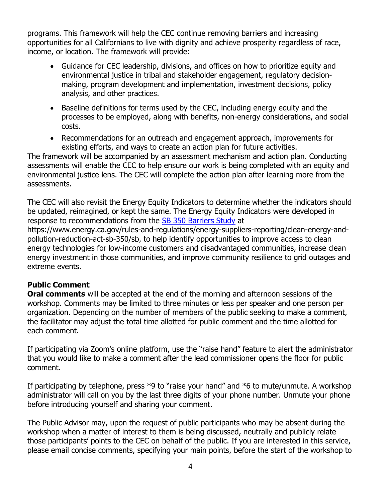programs. This framework will help the CEC continue removing barriers and increasing opportunities for all Californians to live with dignity and achieve prosperity regardless of race, income, or location. The framework will provide:

- Guidance for CEC leadership, divisions, and offices on how to prioritize equity and environmental justice in tribal and stakeholder engagement, regulatory decisionmaking, program development and implementation, investment decisions, policy analysis, and other practices.
- Baseline definitions for terms used by the CEC, including energy equity and the processes to be employed, along with benefits, non-energy considerations, and social costs.
- Recommendations for an outreach and engagement approach, improvements for existing efforts, and ways to create an action plan for future activities.

The framework will be accompanied by an assessment mechanism and action plan. Conducting assessments will enable the CEC to help ensure our work is being completed with an equity and environmental justice lens. The CEC will complete the action plan after learning more from the assessments.

The CEC will also revisit the Energy Equity Indicators to determine whether the indicators should be updated, reimagined, or kept the same. The Energy Equity Indicators were developed in response to recommendations from the [SB 350 Barriers Study](https://www.energy.ca.gov/rules-and-regulations/energy-suppliers-reporting/clean-energy-and-pollution-reduction-act-sb-350/sb) at https://www.energy.ca.gov/rules-and-regulations/energy-suppliers-reporting/clean-energy-andpollution-reduction-act-sb-350/sb, to help identify opportunities to improve access to clean energy technologies for low-income customers and disadvantaged communities, increase clean energy investment in those communities, and improve community resilience to grid outages and extreme events.

# **Public Comment**

**Oral comments** will be accepted at the end of the morning and afternoon sessions of the workshop. Comments may be limited to three minutes or less per speaker and one person per organization. Depending on the number of members of the public seeking to make a comment, the facilitator may adjust the total time allotted for public comment and the time allotted for each comment.

If participating via Zoom's online platform, use the "raise hand" feature to alert the administrator that you would like to make a comment after the lead commissioner opens the floor for public comment.

If participating by telephone, press \*9 to "raise your hand" and \*6 to mute/unmute. A workshop administrator will call on you by the last three digits of your phone number. Unmute your phone before introducing yourself and sharing your comment.

The Public Advisor may, upon the request of public participants who may be absent during the workshop when a matter of interest to them is being discussed, neutrally and publicly relate those participants' points to the CEC on behalf of the public. If you are interested in this service, please email concise comments, specifying your main points, before the start of the workshop to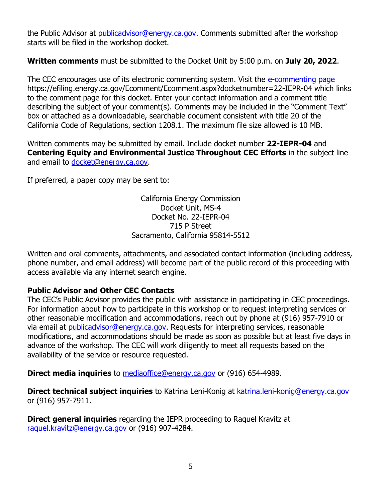the Public Advisor at *publicadvisor@energy.ca.gov.* Comments submitted after the workshop starts will be filed in the workshop docket.

**Written comments** must be submitted to the Docket Unit by 5:00 p.m. on **July 20, 2022**.

The CEC encourages use of its electronic commenting system. Visit the [e-commenting page](https://efiling.energy.ca.gov/Ecomment/Ecomment.aspx?docketnumber=22-IEPR-04) https://efiling.energy.ca.gov/Ecomment/Ecomment.aspx?docketnumber=22-IEPR-04 which links to the comment page for this docket. Enter your contact information and a comment title describing the subject of your comment(s). Comments may be included in the "Comment Text" box or attached as a downloadable, searchable document consistent with title 20 of the California Code of Regulations, section 1208.1. The maximum file size allowed is 10 MB.

Written comments may be submitted by email. Include docket number **22-IEPR-04** and **Centering Equity and Environmental Justice Throughout CEC Efforts** in the subject line and email to [docket@energy.ca.gov.](mailto:docket@energy.ca.gov)

If preferred, a paper copy may be sent to:

California Energy Commission Docket Unit, MS-4 Docket No. 22-IEPR-04 715 P Street Sacramento, California 95814-5512

Written and oral comments, attachments, and associated contact information (including address, phone number, and email address) will become part of the public record of this proceeding with access available via any internet search engine.

# **Public Advisor and Other CEC Contacts**

The CEC's Public Advisor provides the public with assistance in participating in CEC proceedings. For information about how to participate in this workshop or to request interpreting services or other reasonable modification and accommodations, reach out by phone at (916) 957-7910 or via email at *[publicadvisor@energy.ca.gov.](mailto:at publicadvisor@energy.ca.gov)* Requests for interpreting services, reasonable modifications, and accommodations should be made as soon as possible but at least five days in advance of the workshop. The CEC will work diligently to meet all requests based on the availability of the service or resource requested.

**Direct media inquiries** to [mediaoffice@energy.ca.gov](mailto:mediaoffice@energy.ca.gov) or (916) 654-4989.

**Direct technical subject inquiries** to Katrina Leni-Konig at [katrina.leni-konig@energy.ca.gov](mailto:katrina.leni-konig@energy.ca.gov) or (916) 957-7911.

**Direct general inquiries** regarding the IEPR proceeding to Raquel Kravitz at [raquel.kravitz@energy.ca.gov](mailto:raquel.kravitz@energy.ca.gov) or (916) 907-4284.